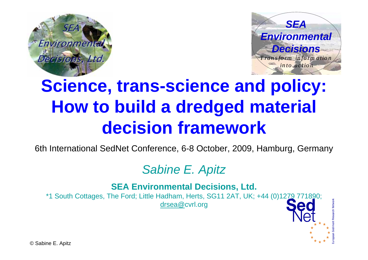



# **Science, trans-science and policy: How to build a dredged material decision framework**

6th International SedNet Conference, 6-8 October, 2009, Hamburg, Germany

### *Sabine E. Apitz*

**SEA Environmental Decisions, Ltd.**

\*1 South Cottages, The Ford; Little Hadham, Herts, SG11 2AT, UK; +44 (0)1279 771890; [drsea@](mailto:drsea@)cvrl.org



© Sabine E. Apitz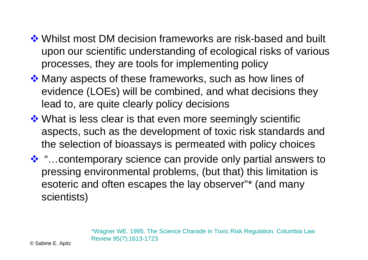- **\*** Whilst most DM decision frameworks are risk-based and built upon our scientific understanding of ecological risks of various processes, they are tools for implementing policy
- ❖ Many aspects of these frameworks, such as how lines of evidence (LOEs) will be combined, and what decisions they lead to, are quite clearly policy decisions
- ❖ What is less clear is that even more seemingly scientific aspects, such as the development of toxic risk standards and the selection of bioassays is permeated with policy choices
- ❖ "... contemporary science can provide only partial answers to pressing environmental problems, (but that) this limitation is esoteric and often escapes the lay observer"\* (and many scientists)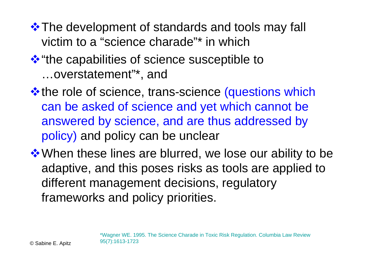**\*** The development of standards and tools may fall victim to a "science charade"\* in which

### **\*\*** "the capabilities of science susceptible to …overstatement"\*, and

**\*** the role of science, trans-science (questions which can be asked of science and yet which cannot be answered by science, and are thus addressed by policy) and policy can be unclear

❖ When these lines are blurred, we lose our ability to be adaptive, and this poses risks as tools are applied to different management decisions, regulatory frameworks and policy priorities.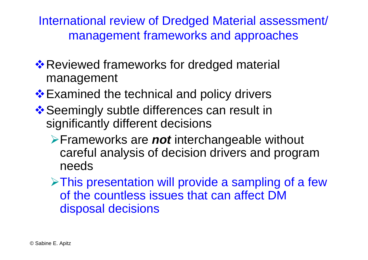International review of Dredged Material assessment/ management frameworks and approaches

- **\*** Reviewed frameworks for dredged material management
- ❖ Examined the technical and policy drivers
- ❖ Seemingly subtle differences can result in significantly different decisions
	- ¾Frameworks are *not* interchangeable without careful analysis of decision drivers and program needs

 $\triangleright$ This presentation will provide a sampling of a few of the countless issues that can affect DM disposal decisions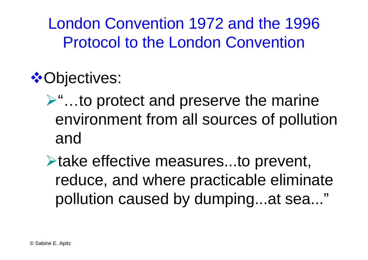London Convention 1972 and the 1996 Protocol to the London Convention

 **⊙bjectives:** 

- ¾"…to protect and preserve the marine environment from all sources of pollution and
- **Example 25 Figure Figure Figure S** Figure 2.10 prevent, reduce, and where practicable eliminate pollution caused by dumping...at sea..."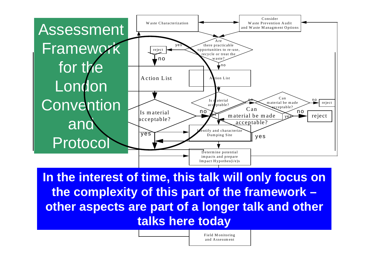

III. plem enterit **other aspects are part of a longer talk and other** In the interest of time, this talk will only focus on the complexity of this part of the framework **– talks here today**

> Field M onitoring and Assessment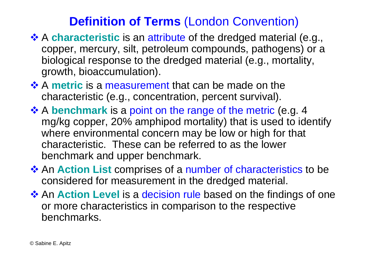### **Definition of Terms** (London Convention)

- **A characteristic** is an attribute of the dredged material (e.g., copper, mercury, silt, petroleum compounds, pathogens) or a biological response to the dredged material (e.g., mortality, growth, bioaccumulation).
- **A metric** is a measurement that can be made on the  $\ddot{\cdot}$ characteristic (e.g., concentration, percent survival).
- **A benchmark** is a point on the range of the metric (e.g. 4 ★ mg/kg copper, 20% amphipod mortality) that is used to identify where environmental concern may be low or high for that characteristic. These can be referred to as the lower benchmark and upper benchmark.
- **<sup>◆</sup> An Action List** comprises of a number of characteristics to be considered for measurement in the dredged material.
- **<sup>◆</sup> An Action Level** is a decision rule based on the findings of one or more characteristics in comparison to the respective benchmarks.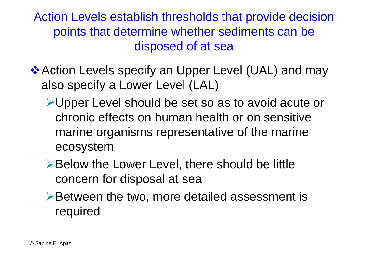Action Levels establish thresholds that provide decision points that determine whether sediments can be disposed of at sea

- **Action Levels specify an Upper Level (UAL) and may** also specify a Lower Level (LAL)
	- ¾Upper Level should be set so as to avoid acute or chronic effects on human health or on sensitive marine organisms representative of the marine ecosystem
	- **≻Below the Lower Level, there should be little** concern for disposal at sea
	- ¾Between the two, more detailed assessment is required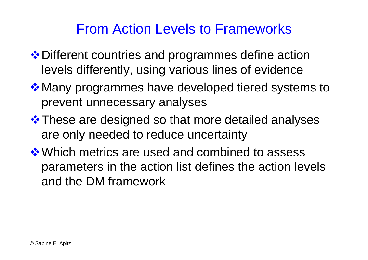### From Action Levels to Frameworks

- ❖ Different countries and programmes define action levels differently, using various lines of evidence
- **\*** Many programmes have developed tiered systems to prevent unnecessary analyses
- **\*** These are designed so that more detailed analyses are only needed to reduce uncertainty
- ❖ Which metrics are used and combined to assess parameters in the action list defines the action levels and the DM framework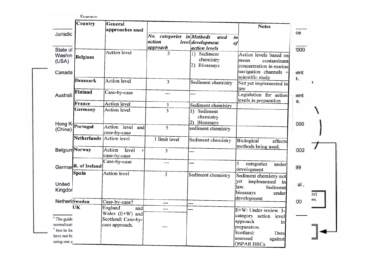| Jurisdic                                   | Country                         | General<br>approaches used                     | No.<br>categories in Methods | used                                              | <b>Notes</b><br>in                                                                                                      | ce         |      |
|--------------------------------------------|---------------------------------|------------------------------------------------|------------------------------|---------------------------------------------------|-------------------------------------------------------------------------------------------------------------------------|------------|------|
|                                            |                                 |                                                | action                       | level development                                 | of                                                                                                                      |            |      |
| State of                                   |                                 |                                                | approach                     | action levels                                     |                                                                                                                         | :000       |      |
| Washin<br>(USA)<br>Canada                  | Belgium                         | <b>Action</b> level                            | 3                            | 1) Sediment<br>chemistry<br>2) Bioassays          | Action levels based on<br>mean<br>contaminant<br>concentration in marine<br>navigation channels $+$<br>scientific study | ent        |      |
|                                            | Denmark                         | Action level                                   | 3                            | Sediment chemistry                                | Not yet implemented in<br>law                                                                                           | a,         | э    |
| Australi                                   | Finland                         | Case-by-case                                   | ---                          | ---                                               | Legislation for action<br>levels in preparation                                                                         | lent<br>a, |      |
|                                            | France                          | Action level                                   | 3                            | Sediment chemistry                                |                                                                                                                         |            |      |
| Hong K                                     | Germany                         | Action level                                   | 3                            | Sediment<br>$\bf{1}$<br>chemistry<br>2) Bioassays |                                                                                                                         | 000        |      |
| (China)                                    | Portugal                        | Action level<br>and<br>case-by-case            | 5                            | sediment chemistry                                |                                                                                                                         |            |      |
|                                            | Netherlands                     | Action level                                   | 1 limit level                | Sediment chemistry                                | Biological<br>effects<br>methods being used.                                                                            |            |      |
|                                            | <b>Belgium</b> Norway           | Action<br>level<br>$\pm$<br>case-by-case       | 5                            |                                                   |                                                                                                                         | 002        |      |
|                                            | Germar <sup>R.</sup> of Ireland | Case-by-case                                   | ---                          |                                                   | 3<br>categories<br>under<br>development                                                                                 | 99         |      |
| United<br>Kingdor                          | <b>Spain</b>                    | Action level                                   | 3                            | Sediment chemistry                                | Sediment chemistry not<br>yet<br>implemented<br>in<br>law.<br>Sediment<br>bioassays<br>under                            | al.,       | NΤ   |
| Netherl:Sweden                             |                                 |                                                |                              |                                                   | development                                                                                                             | 00         | ent, |
|                                            | UK                              | Case-by-case?<br>England                       | ---                          | ---                                               |                                                                                                                         |            |      |
| <sup>a</sup> The guide                     |                                 | and<br>Wales $(E+W)$ and<br>Scotland: Case-by- | ---                          |                                                   | E+W: Under review. 3-<br>category action level<br>approach<br>in                                                        |            |      |
| normalisati<br>b two to for<br>have not be |                                 | case approach.                                 |                              |                                                   | preparation.<br>Scotland:<br>Data                                                                                       |            |      |
| using one a                                |                                 |                                                |                              |                                                   | assessed<br>against<br><b>OSPAR BRCs</b>                                                                                |            |      |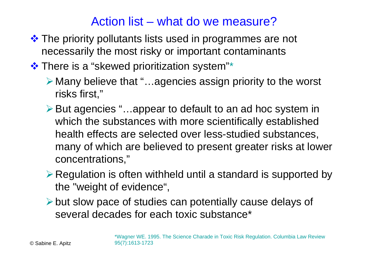### Action list – what do we measure?

- The priority pollutants lists used in programmes are not necessarily the most risky or important contaminants
- $\cdot\cdot\cdot$  There is a "skewed prioritization system"\*
	- ¾ Many believe that "…agencies assign priority to the worst risks first,"
	- ¾But agencies "…appear to default to an ad hoc system in which the substances with more scientifically established health effects are selected over less-studied substances, many of which are believed to present greater risks at lower concentrations,"
	- $\triangleright$  Regulation is often withheld until a standard is supported by the "weight of evidence",
	- $\triangleright$  but slow pace of studies can potentially cause delays of several decades for each toxic substance\*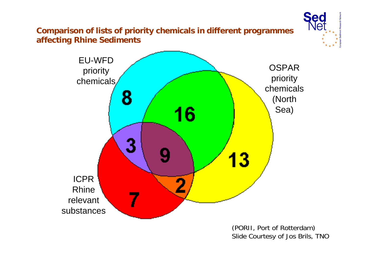**Comparison of lists of priority chemicals in different programmes affecting Rhine Sediments**

![](_page_11_Figure_1.jpeg)

(PORII, Port of Rotterdam) Slide Courtesy of Jos Brils, TNO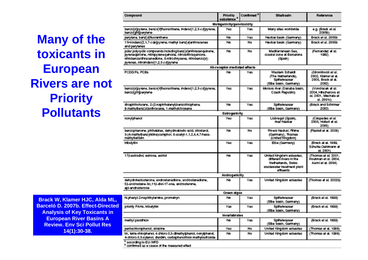**Many of the toxicants in European Rivers are not Priority Pollutants**

| compound                                                                                                                                                                                                                       | <b>FTIORIX</b><br>substance <sup>®</sup> | a an marca | creation in                                                                                                            | numuno                                                                              |
|--------------------------------------------------------------------------------------------------------------------------------------------------------------------------------------------------------------------------------|------------------------------------------|------------|------------------------------------------------------------------------------------------------------------------------|-------------------------------------------------------------------------------------|
|                                                                                                                                                                                                                                | Hutagenicity/genotoxicity                |            |                                                                                                                        |                                                                                     |
| benzojajpyrane, benzojkjiluoranthene, indenoj1,2,3-odjpyrene,<br>benzojghi pentene.                                                                                                                                            | Yus                                      | Yus.       | Many sites worldwide                                                                                                   | o.g. (Brack et al.<br>200504                                                        |
| perviene, benzjejtkroranthene                                                                                                                                                                                                  | No                                       | Yas        | Neckar basin (Germany)                                                                                                 | Brack et al. 2005b                                                                  |
| 11H-Indeno[2,1,7-ode]pyrene, methyl benz[ajanthracenes]<br>and pervienes.                                                                                                                                                      | No                                       | No         | No doar basin (Germany).                                                                                               | Brack et al. 2005b                                                                  |
| polar polycyclic compounds including berz [a]anthracenquinone,<br>pyrenegisnone, nitropyrenequinone, nitroanthraquinone,<br>nitrobenzanthracenedione, 6-nitrodhrysene, nitrobenzoja)-<br>pyrenes, nitroindeno[1,2,3-od]pyrene. | <b>Bitt</b>                              | Nn.        | Moditorranean Sea.<br>coastal zono at Barcelona.<br>(Spain)                                                            | (Femandez et al.<br>1992)                                                           |
|                                                                                                                                                                                                                                | Ah-receptor-mediated effects             |            |                                                                                                                        |                                                                                     |
| PCOD/Fs, PCBs                                                                                                                                                                                                                  | No                                       | Yos.       | Western Scheldt<br>(The Natherlands),<br>Spittglwasser<br>(Elbo basin, Germany).                                       | (Shonkhorst et al.,<br>2002, Klamer et al.<br>2006. Brack et al.<br>20020           |
| benzo[a]pyrane, benzo[k]fluoranthene, indeno[1,2,3-ad]pyrane,<br>benzojahlpentene                                                                                                                                              | Yus                                      | Yos.       | Morava river (Danube basin,<br>Caech Flepublic)                                                                        | (Vondragek et al.<br>2004, Hillschenova et<br>al, 2001, Machaia et .<br>al. 2001c). |
| dinaphthofurans, 2-(2-naphthalonyl) benzethiophene,<br>9-methylberg[a]anthracene, 1-methylchrysene.                                                                                                                            | hin.                                     | West.      | <b>Spittelwasser</b><br>(Elbe basin, Germany).                                                                         | (Brack and Schimer)<br>20020                                                        |
|                                                                                                                                                                                                                                | <b>Estrogenicity</b>                     |            |                                                                                                                        |                                                                                     |
| nonyiphenol                                                                                                                                                                                                                    | Von                                      | Mass       | Liobregat (Spain),<br>river Neder                                                                                      | (Cóspecies et al.<br>2005. Hollart at all.<br>20053                                 |
| benzophenone, phthalates, dehydroabletic acid, silosterol,<br>3-(4-methylberzy)idine)camphor, 6-acetyl-1,1,2,4,4,7-hexa-<br>mettwitetralin                                                                                     | No                                       | No.        | Rivers Neckar, Finine<br>(Germany), Thames<br>(United Kingdom)                                                         | (Fastall et al. 2006).                                                              |
| tributyltin                                                                                                                                                                                                                    | Vons.                                    | West.      | Ebe (Germany)                                                                                                          | (Brack et al. 1999,<br>Schulte-Ochlmann et<br>at 2001).                             |
| 178-estradiol, estrone, estrici                                                                                                                                                                                                | No                                       | Yes.       | United Kingdom estuaries,<br>different rivers in the<br>Notherlands, Swiss<br>was lewater treatment plant.<br>offuents | (Thomas et al. 2001)<br>Floutman et al. 2004,<br>Asmi et al. 2004).                 |
|                                                                                                                                                                                                                                | <b>Androoenicity</b>                     |            |                                                                                                                        |                                                                                     |
| dehydrotestosterone, androstenedione, androstanedione,<br>58-androsiane-3a,118-diol-17-one, androsiarone,<br>epi-androsterone                                                                                                  | No                                       | Yos.       | United Kingdom estuaries.                                                                                              | (Thomas et al. 2002b)                                                               |
|                                                                                                                                                                                                                                | Green algae                              |            |                                                                                                                        |                                                                                     |
| N-phenyl-2-naphthylamine, prometryn                                                                                                                                                                                            | hin.                                     | Mass       | <b>Spittelwasser</b><br>(Elbe basin, Germany)                                                                          | (Brack et al. 1999)                                                                 |
| priority PAHs, tributyttin                                                                                                                                                                                                     | Yes                                      | Yas        | <b>Spittelwasser</b><br>(Elbe basin, Germany).                                                                         | (Brack et al. 1999).                                                                |
|                                                                                                                                                                                                                                | Invertebrates                            |            |                                                                                                                        |                                                                                     |
| methyl parafricn                                                                                                                                                                                                               | No                                       | Yus.       | <b>Spittelwasser</b><br>(Elbo basin, Germany).                                                                         | (Brack et al. 1999).                                                                |
| periachiorophenoi, atrazine                                                                                                                                                                                                    | Yus                                      | No         | United Kingdom estuaries                                                                                               | (Thomas et al. 1999).                                                               |
| tri-, tetra-chlorphenol, 4-chloro-3,5-dimethylphenol, nonyiphenol,<br>4-chiero-3,5-xylenoi, dieldrin, carbophenothion methylsulfoxide.<br>according to EU-WFD                                                                  | No                                       | No         | United Kingdom estuaries                                                                                               | (Thomas et al. 1999).                                                               |

**Brack W, Klamer HJC, Alda ML, Barceló D. 2007b. Effect-Directed Analysis of Key Toxicants in European River Basins A Review. Env Sci Pollut Res 14(1):30-38.**

<sup>b</sup> contimed as a cause of the measured effect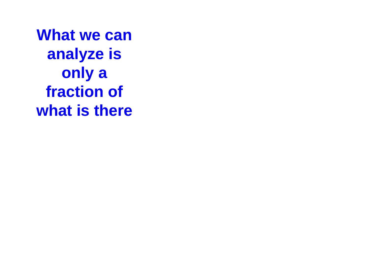**What we can analyze is only a fraction of what is there**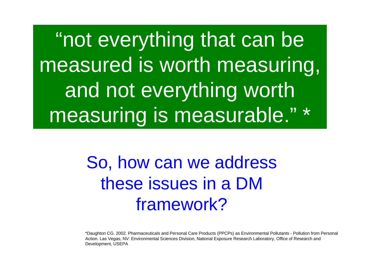"not everything that can be measured is worth measuring, and not everything worth measuring is measurable." \*

> So, how can we address these issues in a DM framework?

\*Daughton CG. 2002. Pharmaceuticals and Personal Care Products (PPCPs) as Environmental Pollutants - Pollution from Personal Action. Las Vegas, NV: Environmental Sciences Division, National Exposure Research Laboratory, Office of Research and Development, USEPA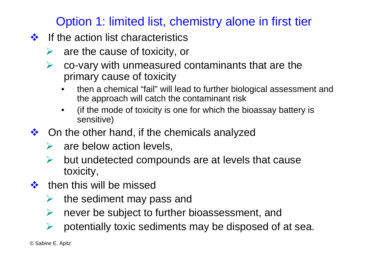### Option 1: limited list, chemistry alone in first tier

- $\frac{1}{2}$  If the action list characteristics
	- ¾are the cause of toxicity, or
	- ¾ co-vary with unmeasured contaminants that are the primary cause of toxicity
		- then a chemical "fail" will lead to further biological assessment and the approach will catch the contaminant risk
		- (if the mode of toxicity is one for which the bioassay battery is sensitive)
- $\frac{1}{2}$  On the other hand, if the chemicals analyzed
	- ¾are below action levels,
	- ¾ but undetected compounds are at levels that cause toxicity,
- $\bullet$  then this will be missed
	- ¾the sediment may pass and
	- ¾never be subject to further bioassessment, and
	- ¾potentially toxic sediments may be disposed of at sea.

© Sabine E. Apitz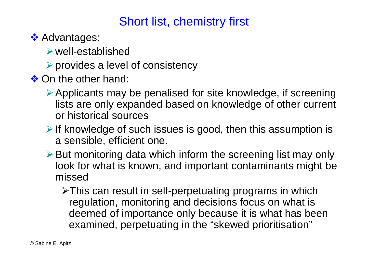### Short list, chemistry first

**❖ Advantages:** 

 $\triangleright$  well-established

 $\triangleright$  provides a level of consistency

**❖ On the other hand:** 

- $\triangleright$  Applicants may be penalised for site knowledge, if screening lists are only expanded based on knowledge of other current or historical sources
- $\triangleright$  If knowledge of such issues is good, then this assumption is a sensible, efficient one.
- $\triangleright$  But monitoring data which inform the screening list may only look for what is known, and important contaminants might be missed

¾This can result in self-perpetuating programs in which regulation, monitoring and decisions focus on what is deemed of importance only because it is what has been examined, perpetuating in the "skewed prioritisation"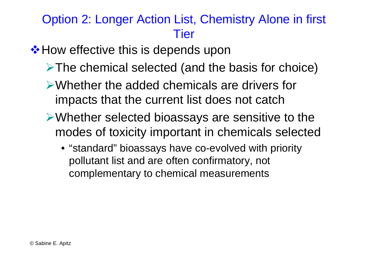### Option 2: Longer Action List, Chemistry Alone in first **Tier**

### ❖ How effective this is depends upon

- ¾The chemical selected (and the basis for choice)
- ¾Whether the added chemicals are drivers for impacts that the current list does not catch
- ¾Whether selected bioassays are sensitive to the modes of toxicity important in chemicals selected
	- "standard" bioassays have co-evolved with priority pollutant list and are often confirmatory, not complementary to chemical measurements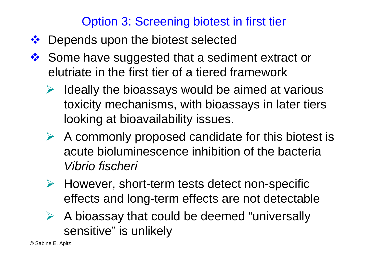### Option 3: Screening biotest in first tier

- $\frac{1}{2}$ Depends upon the biotest selected
- 家 Some have suggested that a sediment extract or elutriate in the first tier of a tiered framework
	- ¾ Ideally the bioassays would be aimed at various toxicity mechanisms, with bioassays in later tiers looking at bioavailability issues.
	- $\triangleright$  A commonly proposed candidate for this biotest is acute bioluminescence inhibition of the bacteria *Vibrio fischeri*
	- ¾ However, short-term tests detect non-specific effects and long-term effects are not detectable
	- $\triangleright$  A bioassay that could be deemed "universally sensitive" is unlikely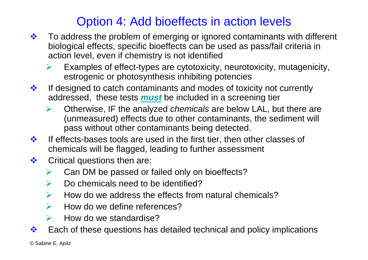### Option 4: Add bioeffects in action levels

- $\frac{1}{2}$  To address the problem of emerging or ignored contaminants with different biological effects, specific bioeffects can be used as pass/fail criteria in action level, even if chemistry is not identified
	- ¾ Examples of effect-types are cytotoxicity, neurotoxicity, mutagenicity, estrogenic or photosynthesis inhibiting potencies
- $\frac{1}{2}$  If designed to catch contaminants and modes of toxicity not currently addressed, these tests *must* be included in a screening tier
	- ¾ Otherwise, IF the analyzed *chemicals* are below LAL, but there are (unmeasured) effects due to other contaminants, the sediment will pass without other contaminants being detected.
- $\frac{1}{2}$  If effects-bases tools are used in the first tier, then other classes of chemicals will be flagged, leading to further assessment
- $\frac{1}{2}$  Critical questions then are:
	- ¾Can DM be passed or failed only on bioeffects?
	- $\blacktriangleright$ Do chemicals need to be identified?
	- $\blacktriangleright$ How do we address the effects from natural chemicals?
	- $\blacktriangleright$ How do we define references?
	- $\blacktriangleright$ How do we standardise?
- $\frac{1}{2}$ Each of these questions has detailed technical and policy implications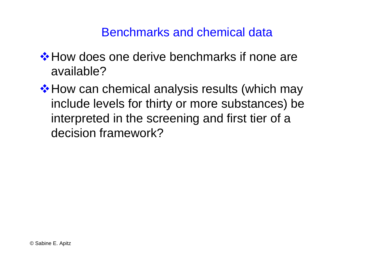### Benchmarks and chemical data

- **\*** How does one derive benchmarks if none are available?
- **\*** How can chemical analysis results (which may include levels for thirty or more substances) be interpreted in the screening and first tier of a decision framework?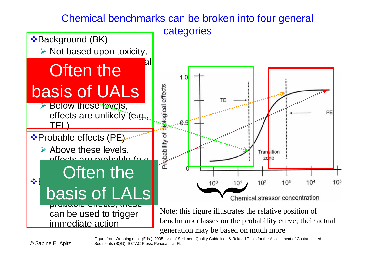#### Chemical benchmarks can be broken into four general

categories

![](_page_21_Figure_2.jpeg)

Figure from Wenning et al. (Eds.), 2005. Use of Sediment Quality Guidelines & Related Tools for the Assessment of Contaminated Sediments (SQG). SETAC Press, Penasacola, FL.

© Sabine E. Apitz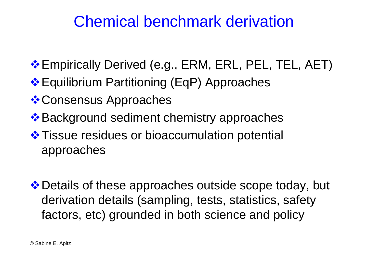## Chemical benchmark derivation

- **Empirically Derived (e.g., ERM, ERL, PEL, TEL, AET)**
- Equilibrium Partitioning (EqP) Approaches
- **❖ Consensus Approaches**
- **E** Background sediment chemistry approaches ♦
- $\cdot$  **Tissue residues or bioaccumulation potential** approaches
- ❖ Details of these approaches outside scope today, but derivation details (sampling, tests, statistics, safety factors, etc) grounded in both science and policy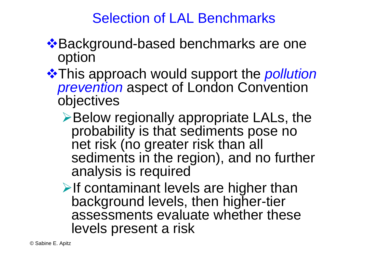### Selection of LAL Benchmarks

- ❖ Background-based benchmarks are one option
- **❖ This approach would support the** *pollution prevention* aspect of London Convention objectives
	- ¾Below regionally appropriate LALs, the probability is that sediments pose no net risk (no greater risk than all sediments in the region), and no further analysis is required
	- $\triangleright$  If contaminant levels are higher than background levels, then higher-tier assessments evaluate whether these levels present a risk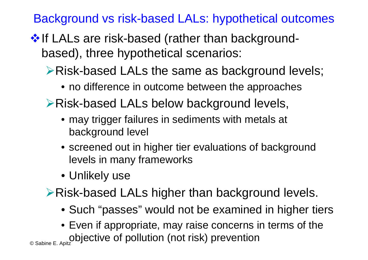Background vs risk-based LALs: hypothetical outcomes

- $\cdot$  If LALs are risk-based (rather than backgroundbased), three hypothetical scenarios:
	- ¾Risk-based LALs the same as background levels;
		- no difference in outcome between the approaches
	- ¾Risk-based LALs below background levels,
		- may trigger failures in sediments with metals at background level
		- screened out in higher tier evaluations of background levels in many frameworks
		- Unlikely use
	- ¾Risk-based LALs higher than background levels.
		- Such "passes" would not be examined in higher tiers
- $_{\tiny \odot}$ <sub>Sabine E. Apitz</sub>objective of pollution (not risk) prevention • Even if appropriate, may raise concerns in terms of the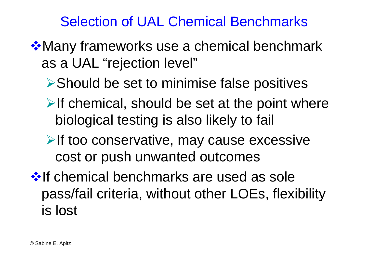## Selection of UAL Chemical Benchmarks

- **\*Many frameworks use a chemical benchmark** as a UAL "rejection level"
	- ¾Should be set to minimise false positives
	- $\triangleright$  If chemical, should be set at the point where biological testing is also likely to fail
	- **≻If too conservative, may cause excessive** cost or push unwanted outcomes
- **If chemical benchmarks are used as sole** pass/fail criteria, without other LOEs, flexibility is lost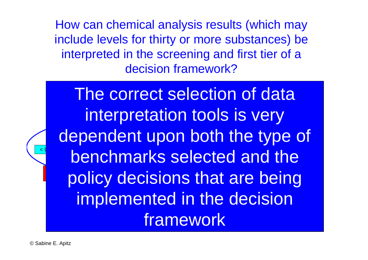How can chemical analysis results (which may include levels for thirty or more substances) be interpreted in the screening and first tier of a decision framework?

The correct selection of data interpretation tools is very Chemically analyse sediments & compare with SQVs  $\leq$  lower SQVs Between lower SQVs Between lower SQVs chm PG C >> Upper benchmarks selected and the <u>nolicy</u> de i<mark>on</mark> Costpolicy decisions that are being Biological effects (e.g., e.g., e.g., e.g., e.g., e.g., e.g., e.g., e.g., e.g., e implemented in the decision framework dependent upon both the type of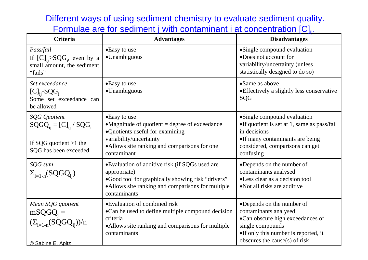Different ways of using sediment chemistry to evaluate sediment quality. Formulae are for sediment j with contaminant i at concentration  $[C]_{ii}$ .

| <b>Criteria</b>                                                                                     | <b>Advantages</b>                                                                                                                                                                                   | <b>Disadvantages</b>                                                                                                                                                                   |  |  |
|-----------------------------------------------------------------------------------------------------|-----------------------------------------------------------------------------------------------------------------------------------------------------------------------------------------------------|----------------------------------------------------------------------------------------------------------------------------------------------------------------------------------------|--|--|
| Pass/fail<br>If $[C]_{ii} > SQG_i$ , even by a<br>small amount, the sediment<br>"fails"             | •Easy to use<br>•Unambiguous                                                                                                                                                                        | • Single compound evaluation<br>•Does not account for<br>variability/uncertainty (unless<br>statistically designed to do so)                                                           |  |  |
| Set exceedance<br>$[C]_{ii}$ -SQG <sub>i</sub><br>Some set exceedance can<br>be allowed             | •Easy to use<br>•Unambiguous                                                                                                                                                                        | •Same as above<br>• Effectively a slightly less conservative<br>SQG                                                                                                                    |  |  |
| SQG Quotient<br>$SQGQ_{ii} = [C]_{ii} / SQG_i$<br>If SQG quotient $>1$ the<br>SQG has been exceeded | •Easy to use<br>$\bullet$ Magnitude of quotient = degree of exceedance<br>•Quotients useful for examining<br>variability/uncertainty<br>•Allows site ranking and comparisons for one<br>contaminant | • Single compound evaluation<br>•If quotient is set at 1, same as pass/fail<br>in decisions<br>•If many contaminants are being<br>considered, comparisons can get<br>confusing         |  |  |
| SQG sum<br>$\Sigma_{i=1-n} (SQGQ_{ii})$                                                             | •Evaluation of additive risk (if SQGs used are<br>appropriate)<br>•Good tool for graphically showing risk "drivers"<br>•Allows site ranking and comparisons for multiple<br>contaminants            | •Depends on the number of<br>contaminants analysed<br>•Less clear as a decision tool<br>• Not all risks are additive                                                                   |  |  |
| Mean SQG quotient<br>$mSQGQ_j =$<br>$(\Sigma_{i=1-n}(SQGQ_{ii}))/n$<br>© Sabine E. Apitz            | •Evaluation of combined risk<br>•Can be used to define multiple compound decision<br>criteria<br>•Allows site ranking and comparisons for multiple<br>contaminants                                  | •Depends on the number of<br>contaminants analysed<br>•Can obscure high exceedances of<br>single compounds<br>•If only this number is reported, it<br>obscures the cause $(s)$ of risk |  |  |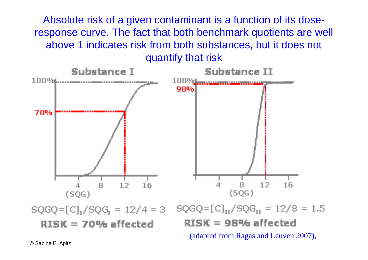Absolute risk of a given contaminant is a function of its doseresponse curve. The fact that both benchmark quotients are well above 1 indicates risk from both substances, but it does not quantify that risk

![](_page_28_Figure_1.jpeg)

RISK = 70% affected

 $RISK = 98%$  affected (adapted from Ragas and Leuven 2007),

© Sabine E. Apitz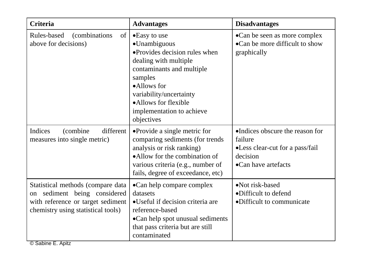| <b>Criteria</b>                                                                                                                              | <b>Advantages</b>                                                                                                                                                                                                                           | <b>Disadvantages</b>                                                                                             |  |
|----------------------------------------------------------------------------------------------------------------------------------------------|---------------------------------------------------------------------------------------------------------------------------------------------------------------------------------------------------------------------------------------------|------------------------------------------------------------------------------------------------------------------|--|
| Rules-based<br><i>(combinations)</i><br>of<br>above for decisions)                                                                           | •Easy to use<br>•Unambiguous<br>·Provides decision rules when<br>dealing with multiple<br>contaminants and multiple<br>samples<br>•Allows for<br>variability/uncertainty<br>•Allows for flexible<br>implementation to achieve<br>objectives | •Can be seen as more complex<br>•Can be more difficult to show<br>graphically                                    |  |
| Indices<br>different<br>(combine)<br>measures into single metric)                                                                            | • Provide a single metric for<br>comparing sediments (for trends<br>analysis or risk ranking)<br>•Allow for the combination of<br>various criteria (e.g., number of<br>fails, degree of exceedance, etc)                                    | •Indices obscure the reason for<br>failure<br>•Less clear-cut for a pass/fail<br>decision<br>•Can have artefacts |  |
| Statistical methods (compare data<br>on sediment being considered<br>with reference or target sediment<br>chemistry using statistical tools) | •Can help compare complex<br>datasets<br>•Useful if decision criteria are<br>reference-based<br>•Can help spot unusual sediments<br>that pass criteria but are still<br>contaminated                                                        | •Not risk-based<br>•Difficult to defend<br>•Difficult to communicate                                             |  |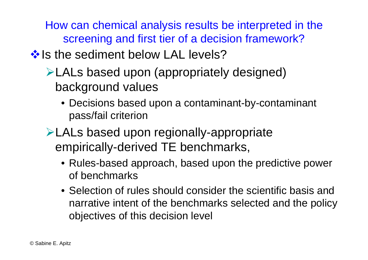How can chemical analysis results be interpreted in the screening and first tier of a decision framework?

### $\cdot$  Is the sediment below LAL levels?

- ¾LALs based upon (appropriately designed) background values
	- Decisions based upon a contaminant-by-contaminant pass/fail criterion
- ¾LALs based upon regionally-appropriate empirically-derived TE benchmarks,
	- Rules-based approach, based upon the predictive power of benchmarks
	- Selection of rules should consider the scientific basis and narrative intent of the benchmarks selected and the policy objectives of this decision level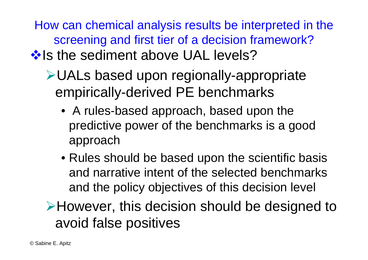How can chemical analysis results be interpreted in the screening and first tier of a decision framework?

## **Volution** Sediment above UAL levels?

- ¾UALs based upon regionally-appropriate empirically-derived PE benchmarks
	- A rules-based approach, based upon the predictive power of the benchmarks is a good approach
	- Rules should be based upon the scientific basis and narrative intent of the selected benchmarks and the policy objectives of this decision level

¾However, this decision should be designed to avoid false positives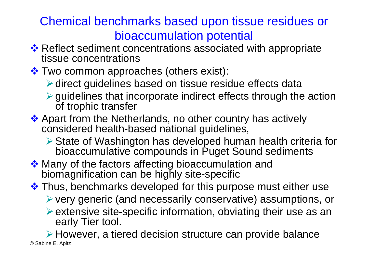### Chemical benchmarks based upon tissue residues or bioaccumulation potential

- **❖ Reflect sediment concentrations associated with appropriate** tissue concentrations
- Two common approaches (others exist):
	- ▶ direct guidelines based on tissue residue effects data
	- $\triangleright$  guidelines that incorporate indirect effects through the action of trophic transfer
- ❖ Apart from the Netherlands, no other country has actively considered health-based national guidelines,
	- ¾State of Washington has developed human health criteria for bioaccumulative compounds in Puget Sound sediments
- ❖ Many of the factors affecting bioaccumulation and biomagnification can be highly site-specific
- ❖ Thus, benchmarks developed for this purpose must either use ¾very generic (and necessarily conservative) assumptions, or  $\triangleright$  extensive site-specific information, obviating their use as an early Tier tool.

© Sabine E. Apitz ¾However, a tiered decision structure can provide balance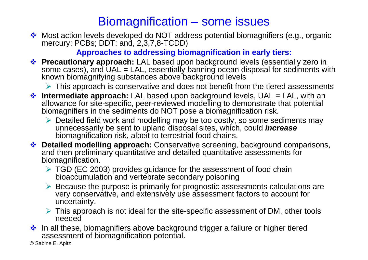### Biomagnification – some issues

 Most action levels developed do NOT address potential biomagnifiers (e.g., organic mercury; PCBs; DDT; and, 2,3,7,8-TCDD)

#### **Approaches to addressing biomagnification in early tiers:**

 **Precautionary approach:** LAL based upon background levels (essentially zero in some cases), and UAL = LAL, essentially banning ocean disposal for sediments with known biomagnifying substances above background levels

 $\triangleright$  This approach is conservative and does not benefit from the tiered assessments

- **Intermediate approach:** LAL based upon background levels, UAL = LAL, with an allowance for site-specific, peer-reviewed modelling to demonstrate that potential biomagnifiers in the sediments do NOT pose a biomagnification risk.
	- ¾ Detailed field work and modelling may be too costly, so some sediments may unnecessarily be sent to upland disposal sites, which, could *increase* biomagnification risk, albeit to terrestrial food chains.
- **Detailed modelling approach:** Conservative screening, background comparisons, and then preliminary quantitative and detailed quantitative assessments for biomagnification.
	- ¾ TGD (EC 2003) provides guidance for the assessment of food chain bioaccumulation and vertebrate secondary poisoning
	- ¾ Because the purpose is primarily for prognostic assessments calculations are very conservative, and extensively use assessment factors to account for uncertainty.
	- $\triangleright$  This approach is not ideal for the site-specific assessment of DM, other tools needed
- $\cdot$  In all these, biomagnifiers above background trigger a failure or higher tiered assessment of biomagnification potential.

© Sabine E. Apitz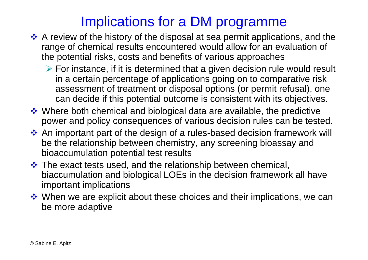## Implications for a DM programme

- ◆ A review of the history of the disposal at sea permit applications, and the range of chemical results encountered would allow for an evaluation of the potential risks, costs and benefits of various approaches
	- ¾ For instance, if it is determined that a given decision rule would result in a certain percentage of applications going on to comparative risk assessment of treatment or disposal options (or permit refusal), one can decide if this potential outcome is consistent with its objectives.
- ◆ Where both chemical and biological data are available, the predictive power and policy consequences of various decision rules can be tested.
- ◆ An important part of the design of a rules-based decision framework will be the relationship between chemistry, any screening bioassay and bioaccumulation potential test results
- **\*** The exact tests used, and the relationship between chemical, biaccumulation and biological LOEs in the decision framework all have important implications
- **\*** When we are explicit about these choices and their implications, we can be more adaptive